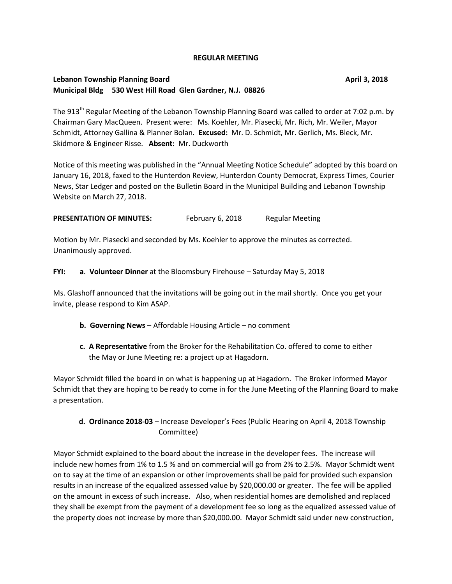#### **REGULAR MEETING**

### **Lebanon Township Planning Board April 3, 2018 Municipal Bldg 530 West Hill Road Glen Gardner, N.J. 08826**

The 913<sup>th</sup> Regular Meeting of the Lebanon Township Planning Board was called to order at 7:02 p.m. by Chairman Gary MacQueen. Present were: Ms. Koehler, Mr. Piasecki, Mr. Rich, Mr. Weiler, Mayor Schmidt, Attorney Gallina & Planner Bolan. **Excused:** Mr. D. Schmidt, Mr. Gerlich, Ms. Bleck, Mr. Skidmore & Engineer Risse. **Absent:** Mr. Duckworth

Notice of this meeting was published in the "Annual Meeting Notice Schedule" adopted by this board on January 16, 2018, faxed to the Hunterdon Review, Hunterdon County Democrat, Express Times, Courier News, Star Ledger and posted on the Bulletin Board in the Municipal Building and Lebanon Township Website on March 27, 2018.

**PRESENTATION OF MINUTES:** February 6, 2018 Regular Meeting

Motion by Mr. Piasecki and seconded by Ms. Koehler to approve the minutes as corrected. Unanimously approved.

**FYI: a**. **Volunteer Dinner** at the Bloomsbury Firehouse – Saturday May 5, 2018

Ms. Glashoff announced that the invitations will be going out in the mail shortly. Once you get your invite, please respond to Kim ASAP.

- **b. Governing News** Affordable Housing Article no comment
- **c. A Representative** from the Broker for the Rehabilitation Co. offered to come to either the May or June Meeting re: a project up at Hagadorn.

Mayor Schmidt filled the board in on what is happening up at Hagadorn. The Broker informed Mayor Schmidt that they are hoping to be ready to come in for the June Meeting of the Planning Board to make a presentation.

## **d. Ordinance 2018-03** – Increase Developer's Fees (Public Hearing on April 4, 2018 Township Committee)

Mayor Schmidt explained to the board about the increase in the developer fees. The increase will include new homes from 1% to 1.5 % and on commercial will go from 2% to 2.5%. Mayor Schmidt went on to say at the time of an expansion or other improvements shall be paid for provided such expansion results in an increase of the equalized assessed value by \$20,000.00 or greater. The fee will be applied on the amount in excess of such increase. Also, when residential homes are demolished and replaced they shall be exempt from the payment of a development fee so long as the equalized assessed value of the property does not increase by more than \$20,000.00. Mayor Schmidt said under new construction,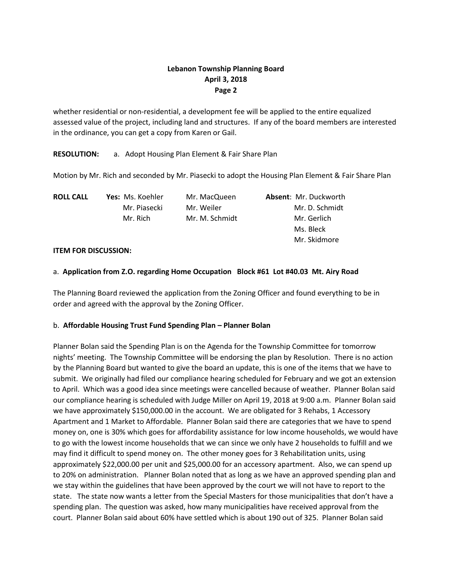## **Lebanon Township Planning Board April 3, 2018 Page 2**

whether residential or non-residential, a development fee will be applied to the entire equalized assessed value of the project, including land and structures. If any of the board members are interested in the ordinance, you can get a copy from Karen or Gail.

**RESOLUTION:** a. Adopt Housing Plan Element & Fair Share Plan

Motion by Mr. Rich and seconded by Mr. Piasecki to adopt the Housing Plan Element & Fair Share Plan

| <b>ROLL CALL</b> | Yes: Ms. Koehler | Mr. MacQueen   | <b>Absent: Mr. Duckworth</b> |
|------------------|------------------|----------------|------------------------------|
|                  | Mr. Piasecki     | Mr. Weiler     | Mr. D. Schmidt               |
|                  | Mr. Rich         | Mr. M. Schmidt | Mr. Gerlich                  |
|                  |                  |                | Ms. Bleck                    |
|                  |                  |                | Mr. Skidmore                 |

### **ITEM FOR DISCUSSION:**

### a. **Application from Z.O. regarding Home Occupation Block #61 Lot #40.03 Mt. Airy Road**

The Planning Board reviewed the application from the Zoning Officer and found everything to be in order and agreed with the approval by the Zoning Officer.

### b. **Affordable Housing Trust Fund Spending Plan – Planner Bolan**

Planner Bolan said the Spending Plan is on the Agenda for the Township Committee for tomorrow nights' meeting. The Township Committee will be endorsing the plan by Resolution. There is no action by the Planning Board but wanted to give the board an update, this is one of the items that we have to submit. We originally had filed our compliance hearing scheduled for February and we got an extension to April. Which was a good idea since meetings were cancelled because of weather. Planner Bolan said our compliance hearing is scheduled with Judge Miller on April 19, 2018 at 9:00 a.m. Planner Bolan said we have approximately \$150,000.00 in the account. We are obligated for 3 Rehabs, 1 Accessory Apartment and 1 Market to Affordable. Planner Bolan said there are categories that we have to spend money on, one is 30% which goes for affordability assistance for low income households, we would have to go with the lowest income households that we can since we only have 2 households to fulfill and we may find it difficult to spend money on. The other money goes for 3 Rehabilitation units, using approximately \$22,000.00 per unit and \$25,000.00 for an accessory apartment. Also, we can spend up to 20% on administration. Planner Bolan noted that as long as we have an approved spending plan and we stay within the guidelines that have been approved by the court we will not have to report to the state. The state now wants a letter from the Special Masters for those municipalities that don't have a spending plan. The question was asked, how many municipalities have received approval from the court. Planner Bolan said about 60% have settled which is about 190 out of 325. Planner Bolan said